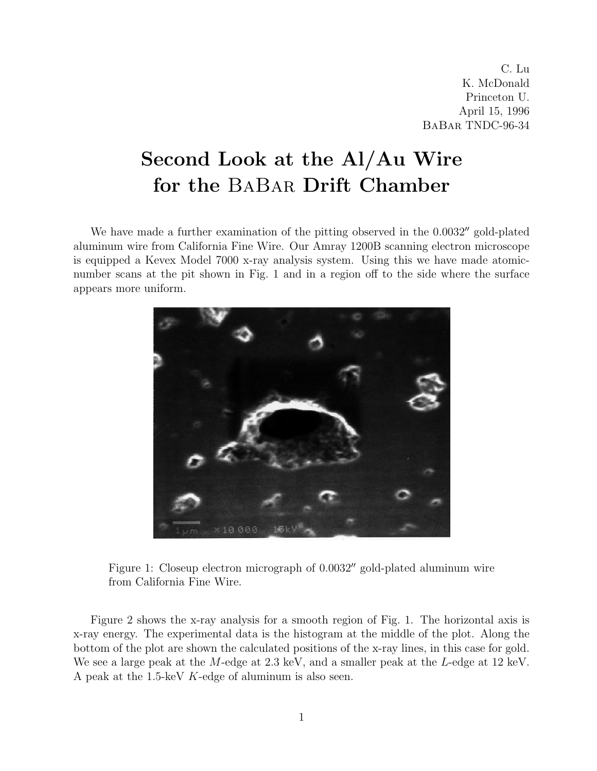C. Lu K. McDonald Princeton U. April 15, 1996 BaBar TNDC-96-34

## Second Look at the Al/Au Wire for the BaBar Drift Chamber

We have made a further examination of the pitting observed in the  $0.0032''$  gold-plated aluminum wire from California Fine Wire. Our Amray 1200B scanning electron microscope is equipped a Kevex Model 7000 x-ray analysis system. Using this we have made atomicnumber scans at the pit shown in Fig. 1 and in a region off to the side where the surface appears more uniform.



Figure 1: Closeup electron micrograph of  $0.0032''$  gold-plated aluminum wire from California Fine Wire.

Figure 2 shows the x-ray analysis for a smooth region of Fig. 1. The horizontal axis is x-ray energy. The experimental data is the histogram at the middle of the plot. Along the bottom of the plot are shown the calculated positions of the x-ray lines, in this case for gold. We see a large peak at the M-edge at  $2.3 \text{ keV}$ , and a smaller peak at the L-edge at  $12 \text{ keV}$ . A peak at the 1.5-keV K-edge of aluminum is also seen.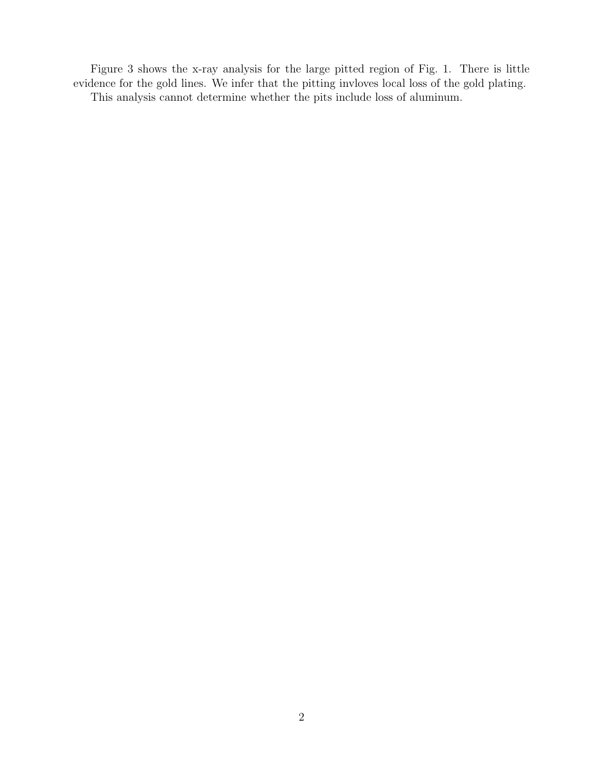Figure 3 shows the x-ray analysis for the large pitted region of Fig. 1. There is little evidence for the gold lines. We infer that the pitting invloves local loss of the gold plating. This analysis cannot determine whether the pits include loss of aluminum.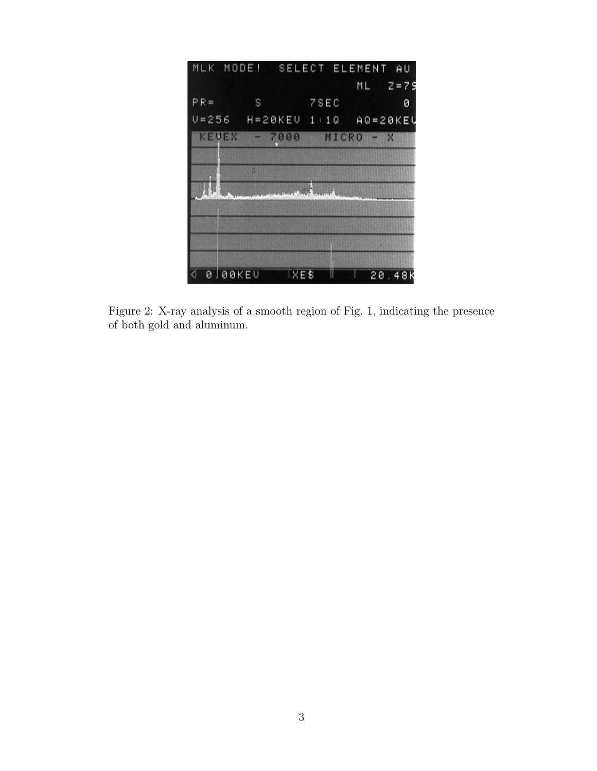

Figure 2: X-ray analysis of a smooth region of Fig. 1, indicating the presence of both gold and aluminum.